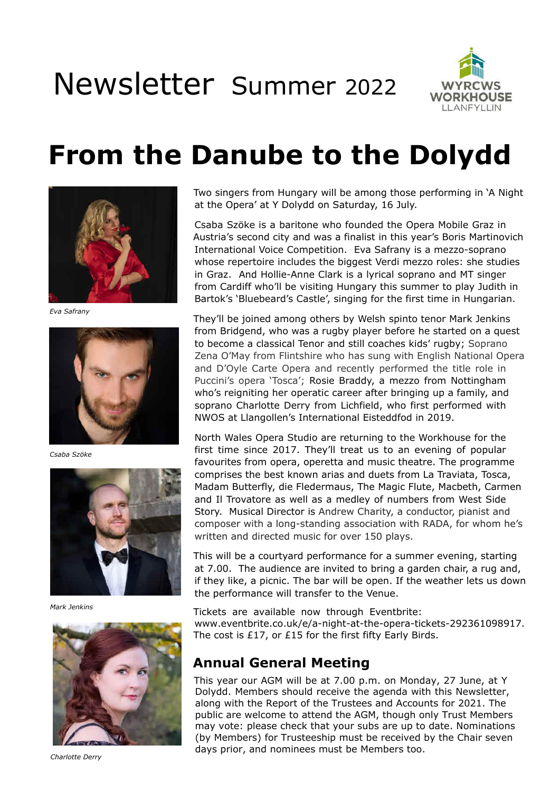# Newsletter Summer <sup>2022</sup>



## **From the Danube to the Dolydd**



*Eva Safrany*



*Csaba Szöke*



*Mark Jenkins*



*Charlotte Derry*

Two singers from Hungary will be among those performing in 'A Night at the Opera' at Y Dolydd on Saturday, 16 July.

Csaba Szöke is a baritone who founded the Opera Mobile Graz in Austria's second city and was a finalist in this year's Boris Martinovich International Voice Competition. Eva Safrany is a mezzo-soprano whose repertoire includes the biggest Verdi mezzo roles: she studies in Graz. And Hollie-Anne Clark is a lyrical soprano and MT singer from Cardiff who'll be visiting Hungary this summer to play Judith in Bartok's 'Bluebeard's Castle', singing for the first time in Hungarian.

They'll be joined among others by Welsh spinto tenor Mark Jenkins from Bridgend, who was a rugby player before he started on a quest to become a classical Tenor and still coaches kids' rugby; Soprano Zena O'May from Flintshire who has sung with English National Opera and D'Oyle Carte Opera and recently performed the title role in Puccini's opera 'Tosca'; Rosie Braddy, a mezzo from Nottingham who's reigniting her operatic career after bringing up a family, and soprano Charlotte Derry from Lichfield, who first performed with NWOS at Llangollen's International Eisteddfod in 2019.

North Wales Opera Studio are returning to the Workhouse for the first time since 2017. They'll treat us to an evening of popular favourites from opera, operetta and music theatre. The programme comprises the best known arias and duets from La Traviata, Tosca, Madam Butterfly, die Fledermaus, The Magic Flute, Macbeth, Carmen and Il Trovatore as well as a medley of numbers from West Side Story. Musical Director is Andrew Charity, a conductor, pianist and composer with a long-standing association with RADA, for whom he's written and directed music for over 150 plays.

This will be a courtyard performance for a summer evening, starting at 7.00. The audience are invited to bring a garden chair, a rug and, if they like, a picnic. The bar will be open. If the weather lets us down the performance will transfer to the Venue.

Tickets are available now through Eventbrite: www.eventbrite.co.uk/e/a-night-at-the-opera-tickets-292361098917. The cost is £17, or £15 for the first fifty Early Birds.

#### **Annual General Meeting**

This year our AGM will be at 7.00 p.m. on Monday, 27 June, at Y Dolydd. Members should receive the agenda with this Newsletter, along with the Report of the Trustees and Accounts for 2021. The public are welcome to attend the AGM, though only Trust Members may vote: please check that your subs are up to date. Nominations (by Members) for Trusteeship must be received by the Chair seven days prior, and nominees must be Members too.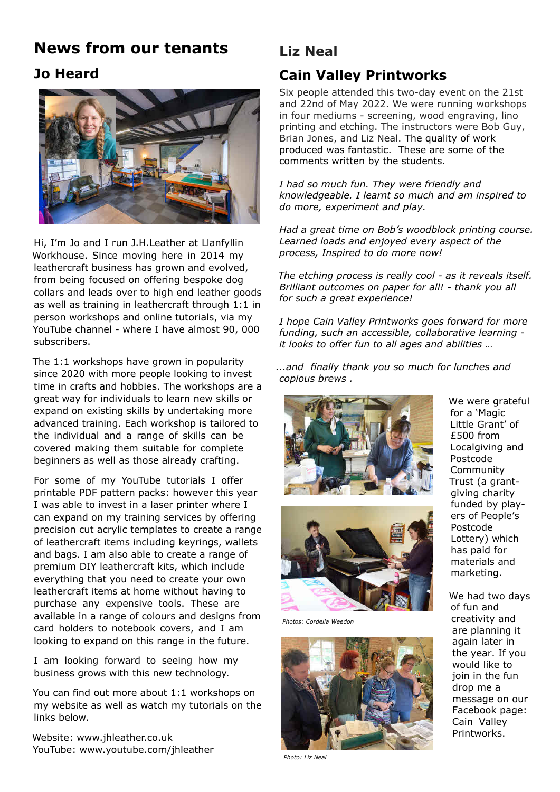### **News from our tenants**

#### **Jo Heard**



Hi, I'm Jo and I run J.H.Leather at Llanfyllin Workhouse. Since moving here in 2014 my leathercraft business has grown and evolved, from being focused on offering bespoke dog collars and leads over to high end leather goods as well as training in leathercraft through 1:1 in person workshops and online tutorials, via my YouTube channel - where I have almost 90, 000 subscribers.

The 1:1 workshops have grown in popularity since 2020 with more people looking to invest time in crafts and hobbies. The workshops are a great way for individuals to learn new skills or expand on existing skills by undertaking more advanced training. Each workshop is tailored to the individual and a range of skills can be covered making them suitable for complete beginners as well as those already crafting.

For some of my YouTube tutorials I offer printable PDF pattern packs: however this year I was able to invest in a laser printer where I can expand on my training services by offering precision cut acrylic templates to create a range of leathercraft items including keyrings, wallets and bags. I am also able to create a range of premium DIY leathercraft kits, which include everything that you need to create your own leathercraft items at home without having to purchase any expensive tools. These are available in a range of colours and designs from card holders to notebook covers, and I am looking to expand on this range in the future.

I am looking forward to seeing how my business grows with this new technology.

You can find out more about 1:1 workshops on my website as well as watch my tutorials on the links below.

Website: www.jhleather.co.uk YouTube: www.youtube.com/jhleather

### **Liz Neal**

#### **Cain Valley Printworks**

Six people attended this two-day event on the 21st and 22nd of May 2022. We were running workshops in four mediums - screening, wood engraving, lino printing and etching. The instructors were Bob Guy, Brian Jones, and Liz Neal. The quality of work produced was fantastic. These are some of the comments written by the students.

*I had so much fun. They were friendly and knowledgeable. I learnt so much and am inspired to do more, experiment and play.*

*Had a great time on Bob's woodblock printing course. Learned loads and enjoyed every aspect of the process, Inspired to do more now!*

*The etching process is really cool - as it reveals itself. Brilliant outcomes on paper for all! - thank you all for such a great experience!*

*I hope Cain Valley Printworks goes forward for more funding, such an accessible, collaborative learning it looks to offer fun to all ages and abilities …*

*...and finally thank you so much for lunches and copious brews .*





*Photos: Cordelia Weedon*



*Photo: Liz Neal*

We were grateful for a 'Magic Little Grant' of £500 from Localgiving and Postcode Community Trust (a grantgiving charity funded by players of People's Postcode Lottery) which has paid for materials and marketing.

We had two days of fun and creativity and are planning it again later in the year. If you would like to join in the fun drop me a message on our Facebook page: Cain Valley Printworks.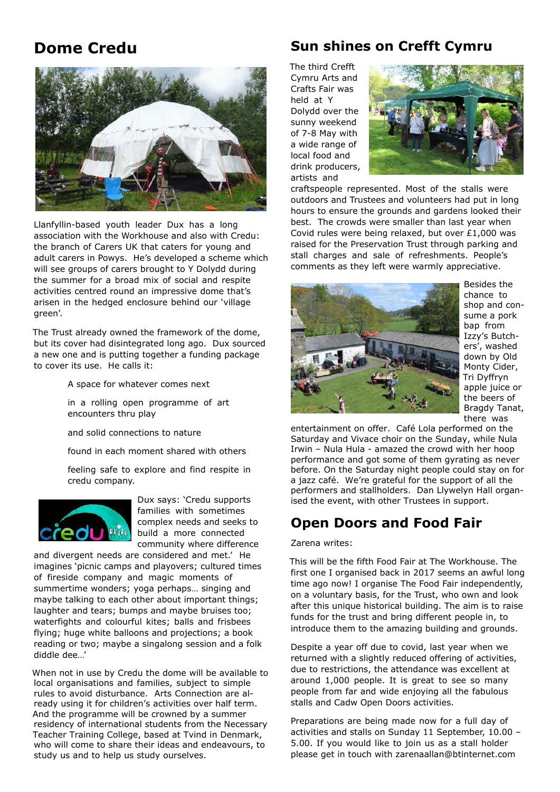### **Dome Credu**



Llanfyllin-based youth leader Dux has a long association with the Workhouse and also with Credu: the branch of Carers UK that caters for young and adult carers in Powys. He's developed a scheme which will see groups of carers brought to Y Dolydd during the summer for a broad mix of social and respite activities centred round an impressive dome that's arisen in the hedged enclosure behind our 'village green'.

The Trust already owned the framework of the dome, but its cover had disintegrated long ago. Dux sourced a new one and is putting together a funding package to cover its use. He calls it:

A space for whatever comes next

 in a rolling open programme of art encounters thru play

and solid connections to nature

found in each moment shared with others

 feeling safe to explore and find respite in credu company.



Dux says: 'Credu supports families with sometimes complex needs and seeks to build a more connected community where difference

and divergent needs are considered and met.' He imagines 'picnic camps and playovers; cultured times of fireside company and magic moments of summertime wonders; yoga perhaps… singing and maybe talking to each other about important things; laughter and tears; bumps and maybe bruises too; waterfights and colourful kites; balls and frisbees flying; huge white balloons and projections; a book reading or two; maybe a singalong session and a folk diddle dee…'

When not in use by Credu the dome will be available to local organisations and families, subject to simple rules to avoid disturbance. Arts Connection are already using it for children's activities over half term. And the programme will be crowned by a summer residency of international students from the Necessary Teacher Training College, based at Tvind in Denmark, who will come to share their ideas and endeavours, to study us and to help us study ourselves.

#### **Sun shines on Crefft Cymru**

The third Crefft Cymru Arts and Crafts Fair was held at Y Dolydd over the sunny weekend of 7-8 May with a wide range of local food and drink producers, artists and



craftspeople represented. Most of the stalls were outdoors and Trustees and volunteers had put in long hours to ensure the grounds and gardens looked their best. The crowds were smaller than last year when Covid rules were being relaxed, but over £1,000 was raised for the Preservation Trust through parking and stall charges and sale of refreshments. People's comments as they left were warmly appreciative.



Besides the chance to shop and consume a pork bap from Izzy's Butchers', washed down by Old Monty Cider, Tri Dyffryn apple juice or the beers of Bragdy Tanat, there was

entertainment on offer. Café Lola performed on the Saturday and Vivace choir on the Sunday, while Nula Irwin – Nula Hula - amazed the crowd with her hoop performance and got some of them gyrating as never before. On the Saturday night people could stay on for a jazz café. We're grateful for the support of all the performers and stallholders. Dan Llywelyn Hall organised the event, with other Trustees in support.

#### **Open Doors and Food Fair**

#### Zarena writes:

This will be the fifth Food Fair at The Workhouse. The first one I organised back in 2017 seems an awful long time ago now! I organise The Food Fair independently, on a voluntary basis, for the Trust, who own and look after this unique historical building. The aim is to raise funds for the trust and bring different people in, to introduce them to the amazing building and grounds.

Despite a year off due to covid, last year when we returned with a slightly reduced offering of activities, due to restrictions, the attendance was excellent at around 1,000 people. It is great to see so many people from far and wide enjoying all the fabulous stalls and Cadw Open Doors activities.

Preparations are being made now for a full day of activities and stalls on Sunday 11 September, 10.00 – 5.00. If you would like to join us as a stall holder please get in touch with zarenaallan@btinternet.com